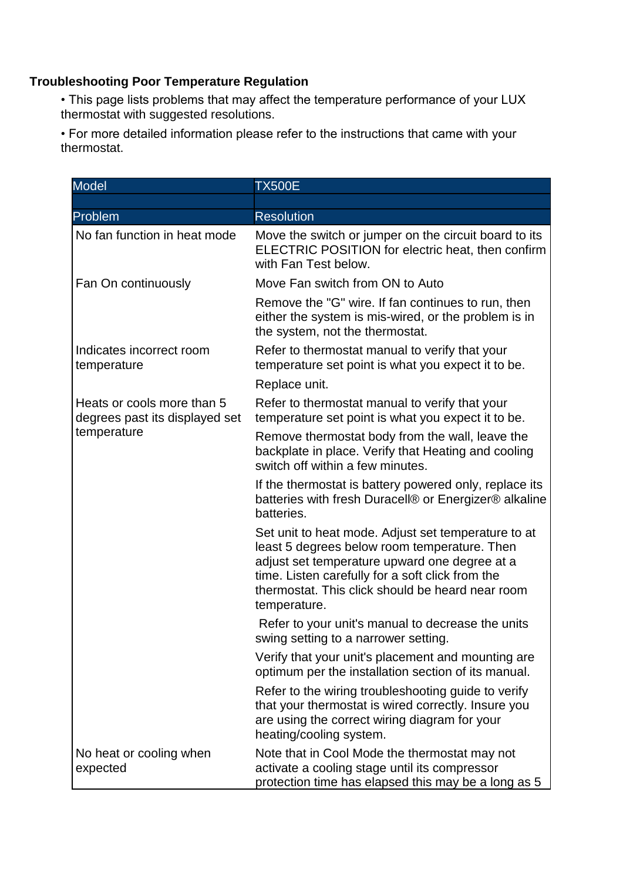## **Troubleshooting Poor Temperature Regulation**

• This page lists problems that may affect the temperature performance of your LUX thermostat with suggested resolutions.

• For more detailed information please refer to the instructions that came with your thermostat.

| <b>Model</b>                                                                | <b>TX500E</b>                                                                                                                                                                                                                                                                |
|-----------------------------------------------------------------------------|------------------------------------------------------------------------------------------------------------------------------------------------------------------------------------------------------------------------------------------------------------------------------|
|                                                                             |                                                                                                                                                                                                                                                                              |
| Problem                                                                     | <b>Resolution</b>                                                                                                                                                                                                                                                            |
| No fan function in heat mode                                                | Move the switch or jumper on the circuit board to its<br>ELECTRIC POSITION for electric heat, then confirm<br>with Fan Test below.                                                                                                                                           |
| Fan On continuously                                                         | Move Fan switch from ON to Auto                                                                                                                                                                                                                                              |
|                                                                             | Remove the "G" wire. If fan continues to run, then<br>either the system is mis-wired, or the problem is in<br>the system, not the thermostat.                                                                                                                                |
| Indicates incorrect room<br>temperature                                     | Refer to thermostat manual to verify that your<br>temperature set point is what you expect it to be.                                                                                                                                                                         |
|                                                                             | Replace unit.                                                                                                                                                                                                                                                                |
| Heats or cools more than 5<br>degrees past its displayed set<br>temperature | Refer to thermostat manual to verify that your<br>temperature set point is what you expect it to be.                                                                                                                                                                         |
|                                                                             | Remove thermostat body from the wall, leave the<br>backplate in place. Verify that Heating and cooling<br>switch off within a few minutes.                                                                                                                                   |
|                                                                             | If the thermostat is battery powered only, replace its<br>batteries with fresh Duracell® or Energizer® alkaline<br>batteries.                                                                                                                                                |
|                                                                             | Set unit to heat mode. Adjust set temperature to at<br>least 5 degrees below room temperature. Then<br>adjust set temperature upward one degree at a<br>time. Listen carefully for a soft click from the<br>thermostat. This click should be heard near room<br>temperature. |
|                                                                             | Refer to your unit's manual to decrease the units<br>swing setting to a narrower setting.                                                                                                                                                                                    |
|                                                                             | Verify that your unit's placement and mounting are<br>optimum per the installation section of its manual.                                                                                                                                                                    |
|                                                                             | Refer to the wiring troubleshooting guide to verify<br>that your thermostat is wired correctly. Insure you<br>are using the correct wiring diagram for your<br>heating/cooling system.                                                                                       |
| No heat or cooling when<br>expected                                         | Note that in Cool Mode the thermostat may not<br>activate a cooling stage until its compressor<br>protection time has elapsed this may be a long as 5                                                                                                                        |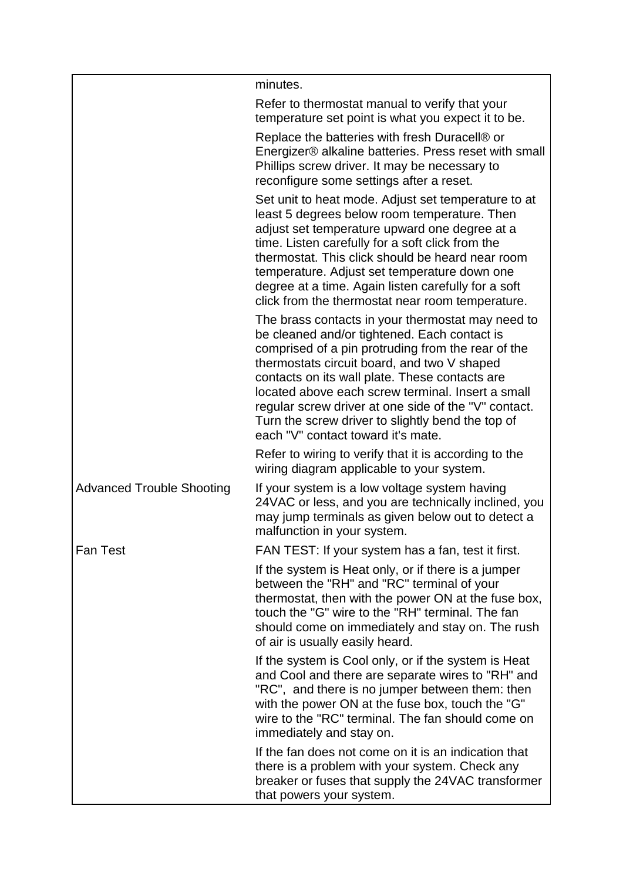|                                  | minutes.                                                                                                                                                                                                                                                                                                                                                                                                                                                         |
|----------------------------------|------------------------------------------------------------------------------------------------------------------------------------------------------------------------------------------------------------------------------------------------------------------------------------------------------------------------------------------------------------------------------------------------------------------------------------------------------------------|
|                                  | Refer to thermostat manual to verify that your<br>temperature set point is what you expect it to be.                                                                                                                                                                                                                                                                                                                                                             |
|                                  | Replace the batteries with fresh Duracell® or<br>Energizer® alkaline batteries. Press reset with small<br>Phillips screw driver. It may be necessary to<br>reconfigure some settings after a reset.                                                                                                                                                                                                                                                              |
|                                  | Set unit to heat mode. Adjust set temperature to at<br>least 5 degrees below room temperature. Then<br>adjust set temperature upward one degree at a<br>time. Listen carefully for a soft click from the<br>thermostat. This click should be heard near room<br>temperature. Adjust set temperature down one<br>degree at a time. Again listen carefully for a soft<br>click from the thermostat near room temperature.                                          |
|                                  | The brass contacts in your thermostat may need to<br>be cleaned and/or tightened. Each contact is<br>comprised of a pin protruding from the rear of the<br>thermostats circuit board, and two V shaped<br>contacts on its wall plate. These contacts are<br>located above each screw terminal. Insert a small<br>regular screw driver at one side of the "V" contact.<br>Turn the screw driver to slightly bend the top of<br>each "V" contact toward it's mate. |
|                                  | Refer to wiring to verify that it is according to the<br>wiring diagram applicable to your system.                                                                                                                                                                                                                                                                                                                                                               |
| <b>Advanced Trouble Shooting</b> | If your system is a low voltage system having<br>24VAC or less, and you are technically inclined, you<br>may jump terminals as given below out to detect a<br>malfunction in your system.                                                                                                                                                                                                                                                                        |
| <b>Fan Test</b>                  | FAN TEST: If your system has a fan, test it first.                                                                                                                                                                                                                                                                                                                                                                                                               |
|                                  | If the system is Heat only, or if there is a jumper<br>between the "RH" and "RC" terminal of your<br>thermostat, then with the power ON at the fuse box,<br>touch the "G" wire to the "RH" terminal. The fan<br>should come on immediately and stay on. The rush<br>of air is usually easily heard.                                                                                                                                                              |
|                                  | If the system is Cool only, or if the system is Heat<br>and Cool and there are separate wires to "RH" and<br>"RC", and there is no jumper between them: then<br>with the power ON at the fuse box, touch the "G"<br>wire to the "RC" terminal. The fan should come on<br>immediately and stay on.                                                                                                                                                                |
|                                  | If the fan does not come on it is an indication that<br>there is a problem with your system. Check any<br>breaker or fuses that supply the 24VAC transformer<br>that powers your system.                                                                                                                                                                                                                                                                         |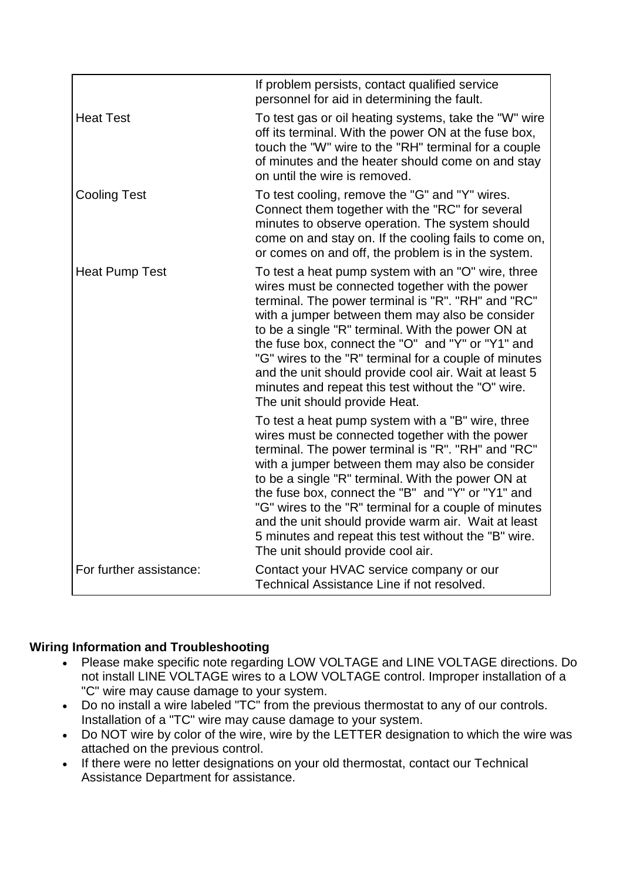|                         | If problem persists, contact qualified service<br>personnel for aid in determining the fault.                                                                                                                                                                                                                                                                                                                                                                                                                                        |
|-------------------------|--------------------------------------------------------------------------------------------------------------------------------------------------------------------------------------------------------------------------------------------------------------------------------------------------------------------------------------------------------------------------------------------------------------------------------------------------------------------------------------------------------------------------------------|
| <b>Heat Test</b>        | To test gas or oil heating systems, take the "W" wire<br>off its terminal. With the power ON at the fuse box,<br>touch the "W" wire to the "RH" terminal for a couple<br>of minutes and the heater should come on and stay<br>on until the wire is removed.                                                                                                                                                                                                                                                                          |
| <b>Cooling Test</b>     | To test cooling, remove the "G" and "Y" wires.<br>Connect them together with the "RC" for several<br>minutes to observe operation. The system should<br>come on and stay on. If the cooling fails to come on,<br>or comes on and off, the problem is in the system.                                                                                                                                                                                                                                                                  |
| <b>Heat Pump Test</b>   | To test a heat pump system with an "O" wire, three<br>wires must be connected together with the power<br>terminal. The power terminal is "R". "RH" and "RC"<br>with a jumper between them may also be consider<br>to be a single "R" terminal. With the power ON at<br>the fuse box, connect the "O" and "Y" or "Y1" and<br>"G" wires to the "R" terminal for a couple of minutes<br>and the unit should provide cool air. Wait at least 5<br>minutes and repeat this test without the "O" wire.<br>The unit should provide Heat.    |
|                         | To test a heat pump system with a "B" wire, three<br>wires must be connected together with the power<br>terminal. The power terminal is "R". "RH" and "RC"<br>with a jumper between them may also be consider<br>to be a single "R" terminal. With the power ON at<br>the fuse box, connect the "B" and "Y" or "Y1" and<br>"G" wires to the "R" terminal for a couple of minutes<br>and the unit should provide warm air. Wait at least<br>5 minutes and repeat this test without the "B" wire.<br>The unit should provide cool air. |
| For further assistance: | Contact your HVAC service company or our<br>Technical Assistance Line if not resolved.                                                                                                                                                                                                                                                                                                                                                                                                                                               |

## **Wiring Information and Troubleshooting**

- Please make specific note regarding LOW VOLTAGE and LINE VOLTAGE directions. Do not install LINE VOLTAGE wires to a LOW VOLTAGE control. Improper installation of a "C" wire may cause damage to your system.
- Do no install a wire labeled "TC" from the previous thermostat to any of our controls. Installation of a "TC" wire may cause damage to your system.
- Do NOT wire by color of the wire, wire by the LETTER designation to which the wire was attached on the previous control.
- If there were no letter designations on your old thermostat, contact our Technical Assistance Department for assistance.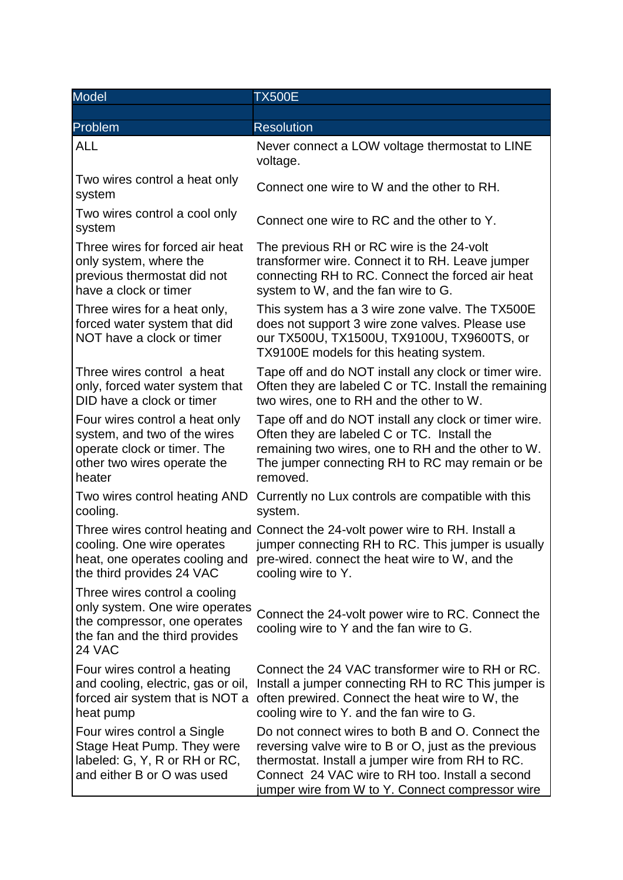| <b>Model</b>                                                                                                                                | <b>TX500E</b>                                                                                                                                                                                                                                                        |
|---------------------------------------------------------------------------------------------------------------------------------------------|----------------------------------------------------------------------------------------------------------------------------------------------------------------------------------------------------------------------------------------------------------------------|
|                                                                                                                                             |                                                                                                                                                                                                                                                                      |
| Problem                                                                                                                                     | <b>Resolution</b>                                                                                                                                                                                                                                                    |
| <b>ALL</b>                                                                                                                                  | Never connect a LOW voltage thermostat to LINE<br>voltage.                                                                                                                                                                                                           |
| Two wires control a heat only<br>system                                                                                                     | Connect one wire to W and the other to RH.                                                                                                                                                                                                                           |
| Two wires control a cool only<br>system                                                                                                     | Connect one wire to RC and the other to Y.                                                                                                                                                                                                                           |
| Three wires for forced air heat<br>only system, where the<br>previous thermostat did not<br>have a clock or timer                           | The previous RH or RC wire is the 24-volt<br>transformer wire. Connect it to RH. Leave jumper<br>connecting RH to RC. Connect the forced air heat<br>system to W, and the fan wire to G.                                                                             |
| Three wires for a heat only,<br>forced water system that did<br>NOT have a clock or timer                                                   | This system has a 3 wire zone valve. The TX500E<br>does not support 3 wire zone valves. Please use<br>our TX500U, TX1500U, TX9100U, TX9600TS, or<br>TX9100E models for this heating system.                                                                          |
| Three wires control a heat<br>only, forced water system that<br>DID have a clock or timer                                                   | Tape off and do NOT install any clock or timer wire.<br>Often they are labeled C or TC. Install the remaining<br>two wires, one to RH and the other to W.                                                                                                            |
| Four wires control a heat only<br>system, and two of the wires<br>operate clock or timer. The<br>other two wires operate the<br>heater      | Tape off and do NOT install any clock or timer wire.<br>Often they are labeled C or TC. Install the<br>remaining two wires, one to RH and the other to W.<br>The jumper connecting RH to RC may remain or be<br>removed.                                             |
| Two wires control heating AND<br>cooling.                                                                                                   | Currently no Lux controls are compatible with this<br>system.                                                                                                                                                                                                        |
| cooling. One wire operates<br>the third provides 24 VAC                                                                                     | Three wires control heating and Connect the 24-volt power wire to RH. Install a<br>jumper connecting RH to RC. This jumper is usually<br>heat, one operates cooling and pre-wired. connect the heat wire to W, and the<br>cooling wire to Y.                         |
| Three wires control a cooling<br>only system. One wire operates<br>the compressor, one operates<br>the fan and the third provides<br>24 VAC | Connect the 24-volt power wire to RC. Connect the<br>cooling wire to Y and the fan wire to G.                                                                                                                                                                        |
| Four wires control a heating<br>and cooling, electric, gas or oil,<br>forced air system that is NOT a<br>heat pump                          | Connect the 24 VAC transformer wire to RH or RC.<br>Install a jumper connecting RH to RC This jumper is<br>often prewired. Connect the heat wire to W, the<br>cooling wire to Y. and the fan wire to G.                                                              |
| Four wires control a Single<br>Stage Heat Pump. They were<br>labeled: G, Y, R or RH or RC,<br>and either B or O was used                    | Do not connect wires to both B and O. Connect the<br>reversing valve wire to B or O, just as the previous<br>thermostat. Install a jumper wire from RH to RC.<br>Connect 24 VAC wire to RH too. Install a second<br>jumper wire from W to Y. Connect compressor wire |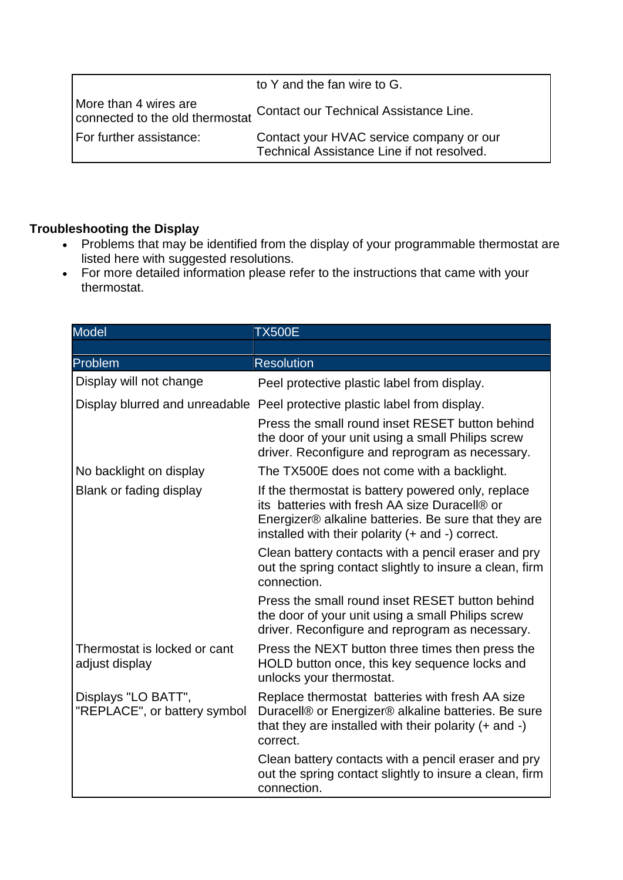|                                                          | to Y and the fan wire to G.                                                            |
|----------------------------------------------------------|----------------------------------------------------------------------------------------|
| More than 4 wires are<br>connected to the old thermostat | Contact our Technical Assistance Line.                                                 |
| For further assistance:                                  | Contact your HVAC service company or our<br>Technical Assistance Line if not resolved. |

## **Troubleshooting the Display**

- Problems that may be identified from the display of your programmable thermostat are listed here with suggested resolutions.
- For more detailed information please refer to the instructions that came with your thermostat.

| <b>Model</b>                                        | <b>TX500E</b>                                                                                                                                                                                                   |
|-----------------------------------------------------|-----------------------------------------------------------------------------------------------------------------------------------------------------------------------------------------------------------------|
|                                                     |                                                                                                                                                                                                                 |
| Problem                                             | <b>Resolution</b>                                                                                                                                                                                               |
| Display will not change                             | Peel protective plastic label from display.                                                                                                                                                                     |
|                                                     | Display blurred and unreadable Peel protective plastic label from display.                                                                                                                                      |
|                                                     | Press the small round inset RESET button behind<br>the door of your unit using a small Philips screw<br>driver. Reconfigure and reprogram as necessary.                                                         |
| No backlight on display                             | The TX500E does not come with a backlight.                                                                                                                                                                      |
| Blank or fading display                             | If the thermostat is battery powered only, replace<br>its batteries with fresh AA size Duracell® or<br>Energizer® alkaline batteries. Be sure that they are<br>installed with their polarity (+ and -) correct. |
|                                                     | Clean battery contacts with a pencil eraser and pry<br>out the spring contact slightly to insure a clean, firm<br>connection.                                                                                   |
|                                                     | Press the small round inset RESET button behind<br>the door of your unit using a small Philips screw<br>driver. Reconfigure and reprogram as necessary.                                                         |
| Thermostat is locked or cant<br>adjust display      | Press the NEXT button three times then press the<br>HOLD button once, this key sequence locks and<br>unlocks your thermostat.                                                                                   |
| Displays "LO BATT",<br>"REPLACE", or battery symbol | Replace thermostat batteries with fresh AA size<br>Duracell® or Energizer® alkaline batteries. Be sure<br>that they are installed with their polarity $(+)$ and $-)$<br>correct.                                |
|                                                     | Clean battery contacts with a pencil eraser and pry<br>out the spring contact slightly to insure a clean, firm<br>connection.                                                                                   |